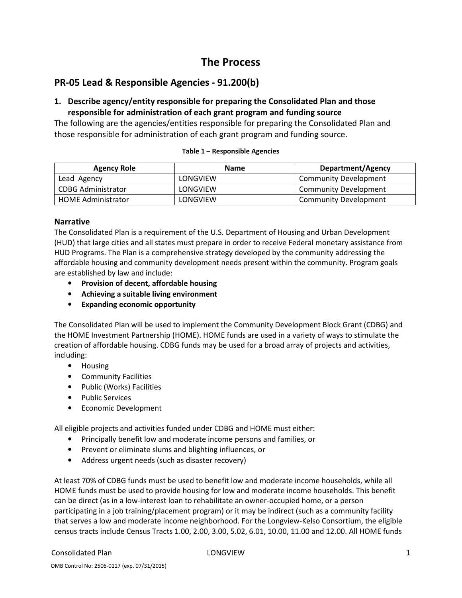# The Process

## PR-05 Lead & Responsible Agencies - 91.200(b)

## 1. Describe agency/entity responsible for preparing the Consolidated Plan and those responsible for administration of each grant program and funding source

The following are the agencies/entities responsible for preparing the Consolidated Plan and those responsible for administration of each grant program and funding source.

#### Table 1 – Responsible Agencies

| <b>Agency Role</b>        | <b>Name</b> | Department/Agency            |
|---------------------------|-------------|------------------------------|
| Lead Agency               | LONGVIEW    | Community Development        |
| CDBG Administrator        | LONGVIEW    | <b>Community Development</b> |
| <b>HOME Administrator</b> | LONGVIEW    | Community Development        |

### Narrative

The Consolidated Plan is a requirement of the U.S. Department of Housing and Urban Development (HUD) that large cities and all states must prepare in order to receive Federal monetary assistance from HUD Programs. The Plan is a comprehensive strategy developed by the community addressing the affordable housing and community development needs present within the community. Program goals are established by law and include:

- Provision of decent, affordable housing
- Achieving a suitable living environment
- Expanding economic opportunity

The Consolidated Plan will be used to implement the Community Development Block Grant (CDBG) and the HOME Investment Partnership (HOME). HOME funds are used in a variety of ways to stimulate the creation of affordable housing. CDBG funds may be used for a broad array of projects and activities, including:

- Housing
- Community Facilities
- Public (Works) Facilities
- Public Services
- Economic Development

All eligible projects and activities funded under CDBG and HOME must either:

- Principally benefit low and moderate income persons and families, or
- Prevent or eliminate slums and blighting influences, or
- Address urgent needs (such as disaster recovery)

At least 70% of CDBG funds must be used to benefit low and moderate income households, while all HOME funds must be used to provide housing for low and moderate income households. This benefit can be direct (as in a low-interest loan to rehabilitate an owner-occupied home, or a person participating in a job training/placement program) or it may be indirect (such as a community facility that serves a low and moderate income neighborhood. For the Longview-Kelso Consortium, the eligible census tracts include Census Tracts 1.00, 2.00, 3.00, 5.02, 6.01, 10.00, 11.00 and 12.00. All HOME funds

### Consolidated Plan 1 and 2008 Consolidated Plan 1 and 2008 Consolidated Plan 1 and 2008 Consolidated Plan 1 and 2008 Consolidated Plan 1 and 2008 Consolidated Plan 1 and 2008 Consolidated Plan 1 and 2008 Consolidated Plan 1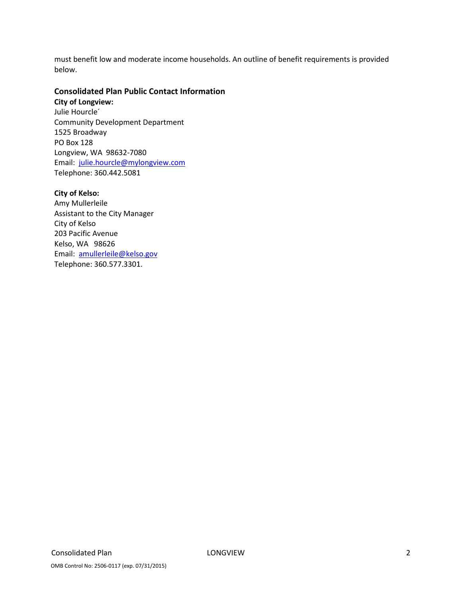must benefit low and moderate income households. An outline of benefit requirements is provided below.

## Consolidated Plan Public Contact Information

City of Longview: Julie Hourcle´ Community Development Department 1525 Broadway PO Box 128 Longview, WA 98632-7080 Email: julie.hourcle@mylongview.com Telephone: 360.442.5081

### City of Kelso:

Amy Mullerleile Assistant to the City Manager City of Kelso 203 Pacific Avenue Kelso, WA 98626 Email: amullerleile@kelso.gov Telephone: 360.577.3301.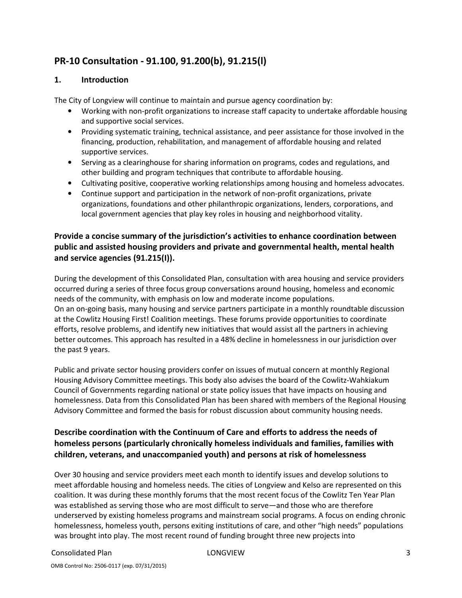# PR-10 Consultation - 91.100, 91.200(b), 91.215(l)

## 1. Introduction

The City of Longview will continue to maintain and pursue agency coordination by:

- Working with non-profit organizations to increase staff capacity to undertake affordable housing and supportive social services.
- Providing systematic training, technical assistance, and peer assistance for those involved in the financing, production, rehabilitation, and management of affordable housing and related supportive services.
- Serving as a clearinghouse for sharing information on programs, codes and regulations, and other building and program techniques that contribute to affordable housing.
- Cultivating positive, cooperative working relationships among housing and homeless advocates.
- Continue support and participation in the network of non-profit organizations, private organizations, foundations and other philanthropic organizations, lenders, corporations, and local government agencies that play key roles in housing and neighborhood vitality.

## Provide a concise summary of the jurisdiction's activities to enhance coordination between public and assisted housing providers and private and governmental health, mental health and service agencies (91.215(I)).

During the development of this Consolidated Plan, consultation with area housing and service providers occurred during a series of three focus group conversations around housing, homeless and economic needs of the community, with emphasis on low and moderate income populations. On an on-going basis, many housing and service partners participate in a monthly roundtable discussion at the Cowlitz Housing First! Coalition meetings. These forums provide opportunities to coordinate efforts, resolve problems, and identify new initiatives that would assist all the partners in achieving better outcomes. This approach has resulted in a 48% decline in homelessness in our jurisdiction over the past 9 years.

Public and private sector housing providers confer on issues of mutual concern at monthly Regional Housing Advisory Committee meetings. This body also advises the board of the Cowlitz-Wahkiakum Council of Governments regarding national or state policy issues that have impacts on housing and homelessness. Data from this Consolidated Plan has been shared with members of the Regional Housing Advisory Committee and formed the basis for robust discussion about community housing needs.

## Describe coordination with the Continuum of Care and efforts to address the needs of homeless persons (particularly chronically homeless individuals and families, families with children, veterans, and unaccompanied youth) and persons at risk of homelessness

Over 30 housing and service providers meet each month to identify issues and develop solutions to meet affordable housing and homeless needs. The cities of Longview and Kelso are represented on this coalition. It was during these monthly forums that the most recent focus of the Cowlitz Ten Year Plan was established as serving those who are most difficult to serve—and those who are therefore underserved by existing homeless programs and mainstream social programs. A focus on ending chronic homelessness, homeless youth, persons exiting institutions of care, and other "high needs" populations was brought into play. The most recent round of funding brought three new projects into

### Consolidated Plan 3 and 2008 Consolidated Plan 3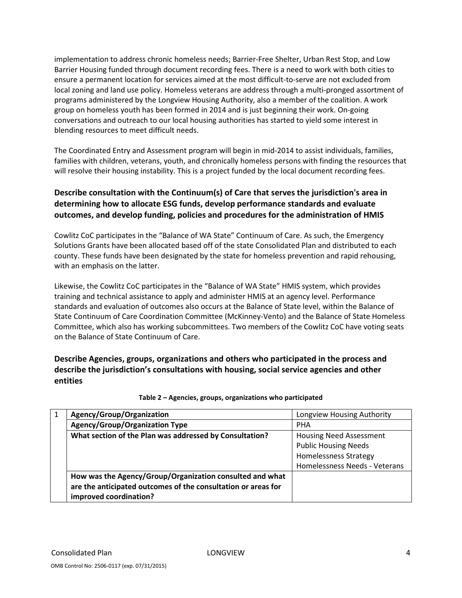implementation to address chronic homeless needs; Barrier-Free Shelter, Urban Rest Stop, and Low Barrier Housing funded through document recording fees. There is a need to work with both cities to ensure a permanent location for services aimed at the most difficult-to-serve are not excluded from local zoning and land use policy. Homeless veterans are address through a multi-pronged assortment of programs administered by the Longview Housing Authority, also a member of the coalition. A work group on homeless youth has been formed in 2014 and is just beginning their work. On-going conversations and outreach to our local housing authorities has started to yield some interest in blending resources to meet difficult needs.

The Coordinated Entry and Assessment program will begin in mid-2014 to assist individuals, families, families with children, veterans, youth, and chronically homeless persons with finding the resources that will resolve their housing instability. This is a project funded by the local document recording fees.

## Describe consultation with the Continuum(s) of Care that serves the jurisdiction's area in determining how to allocate ESG funds, develop performance standards and evaluate outcomes, and develop funding, policies and procedures for the administration of HMIS

Cowlitz CoC participates in the "Balance of WA State" Continuum of Care. As such, the Emergency Solutions Grants have been allocated based off of the state Consolidated Plan and distributed to each county. These funds have been designated by the state for homeless prevention and rapid rehousing, with an emphasis on the latter.

Likewise, the Cowlitz CoC participates in the "Balance of WA State" HMIS system, which provides training and technical assistance to apply and administer HMIS at an agency level. Performance standards and evaluation of outcomes also occurs at the Balance of State level, within the Balance of State Continuum of Care Coordination Committee (McKinney-Vento) and the Balance of State Homeless Committee, which also has working subcommittees. Two members of the Cowlitz CoC have voting seats on the Balance of State Continuum of Care.

Describe Agencies, groups, organizations and others who participated in the process and describe the jurisdiction's consultations with housing, social service agencies and other entities

| Agency/Group/Organization                                     | Longview Housing Authority     |
|---------------------------------------------------------------|--------------------------------|
| <b>Agency/Group/Organization Type</b>                         | <b>PHA</b>                     |
| What section of the Plan was addressed by Consultation?       | <b>Housing Need Assessment</b> |
|                                                               | <b>Public Housing Needs</b>    |
|                                                               | <b>Homelessness Strategy</b>   |
|                                                               | Homelessness Needs - Veterans  |
| How was the Agency/Group/Organization consulted and what      |                                |
| are the anticipated outcomes of the consultation or areas for |                                |
| improved coordination?                                        |                                |

### Table 2 – Agencies, groups, organizations who participated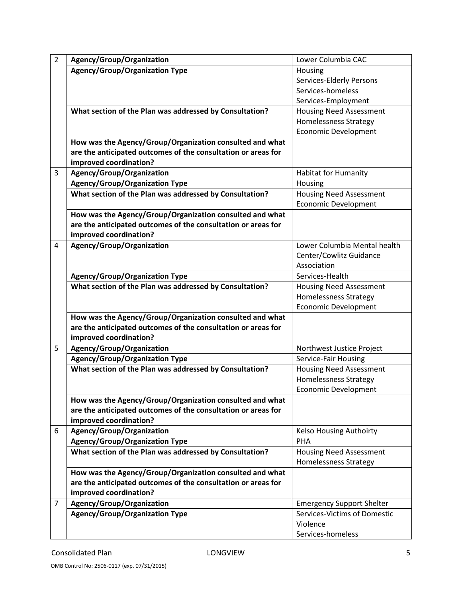| $\overline{2}$ | Agency/Group/Organization                                     | Lower Columbia CAC               |
|----------------|---------------------------------------------------------------|----------------------------------|
|                | <b>Agency/Group/Organization Type</b>                         | Housing                          |
|                |                                                               | Services-Elderly Persons         |
|                |                                                               | Services-homeless                |
|                |                                                               | Services-Employment              |
|                | What section of the Plan was addressed by Consultation?       | <b>Housing Need Assessment</b>   |
|                |                                                               | <b>Homelessness Strategy</b>     |
|                |                                                               | <b>Economic Development</b>      |
|                | How was the Agency/Group/Organization consulted and what      |                                  |
|                | are the anticipated outcomes of the consultation or areas for |                                  |
|                | improved coordination?                                        |                                  |
| 3              | Agency/Group/Organization                                     | <b>Habitat for Humanity</b>      |
|                | <b>Agency/Group/Organization Type</b>                         | Housing                          |
|                | What section of the Plan was addressed by Consultation?       | <b>Housing Need Assessment</b>   |
|                |                                                               | <b>Economic Development</b>      |
|                | How was the Agency/Group/Organization consulted and what      |                                  |
|                | are the anticipated outcomes of the consultation or areas for |                                  |
|                | improved coordination?                                        |                                  |
| 4              | Agency/Group/Organization                                     | Lower Columbia Mental health     |
|                |                                                               | Center/Cowlitz Guidance          |
|                |                                                               | Association                      |
|                | <b>Agency/Group/Organization Type</b>                         | Services-Health                  |
|                | What section of the Plan was addressed by Consultation?       | <b>Housing Need Assessment</b>   |
|                |                                                               | <b>Homelessness Strategy</b>     |
|                |                                                               | <b>Economic Development</b>      |
|                | How was the Agency/Group/Organization consulted and what      |                                  |
|                | are the anticipated outcomes of the consultation or areas for |                                  |
|                | improved coordination?                                        |                                  |
| 5              | Agency/Group/Organization                                     | Northwest Justice Project        |
|                | <b>Agency/Group/Organization Type</b>                         | Service-Fair Housing             |
|                | What section of the Plan was addressed by Consultation?       | <b>Housing Need Assessment</b>   |
|                |                                                               | <b>Homelessness Strategy</b>     |
|                |                                                               | <b>Economic Development</b>      |
|                | How was the Agency/Group/Organization consulted and what      |                                  |
|                | are the anticipated outcomes of the consultation or areas for |                                  |
|                | improved coordination?                                        |                                  |
| 6              | Agency/Group/Organization                                     | <b>Kelso Housing Authoirty</b>   |
|                | <b>Agency/Group/Organization Type</b>                         | <b>PHA</b>                       |
|                | What section of the Plan was addressed by Consultation?       | <b>Housing Need Assessment</b>   |
|                |                                                               | <b>Homelessness Strategy</b>     |
|                | How was the Agency/Group/Organization consulted and what      |                                  |
|                | are the anticipated outcomes of the consultation or areas for |                                  |
|                | improved coordination?                                        |                                  |
| 7              | Agency/Group/Organization                                     | <b>Emergency Support Shelter</b> |
|                | <b>Agency/Group/Organization Type</b>                         | Services-Victims of Domestic     |
|                |                                                               | Violence                         |
|                |                                                               | Services-homeless                |

OMB Control No: 2506-0117 (exp. 07/31/2015)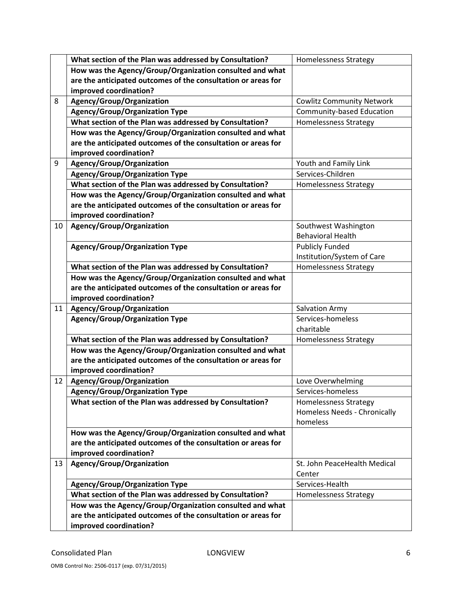|    | What section of the Plan was addressed by Consultation?       | <b>Homelessness Strategy</b>     |
|----|---------------------------------------------------------------|----------------------------------|
|    | How was the Agency/Group/Organization consulted and what      |                                  |
|    | are the anticipated outcomes of the consultation or areas for |                                  |
|    | improved coordination?                                        |                                  |
| 8  | Agency/Group/Organization                                     | <b>Cowlitz Community Network</b> |
|    | <b>Agency/Group/Organization Type</b>                         | <b>Community-based Education</b> |
|    | What section of the Plan was addressed by Consultation?       | <b>Homelessness Strategy</b>     |
|    | How was the Agency/Group/Organization consulted and what      |                                  |
|    | are the anticipated outcomes of the consultation or areas for |                                  |
|    | improved coordination?                                        |                                  |
| 9  | Agency/Group/Organization                                     | Youth and Family Link            |
|    | <b>Agency/Group/Organization Type</b>                         | Services-Children                |
|    | What section of the Plan was addressed by Consultation?       | <b>Homelessness Strategy</b>     |
|    | How was the Agency/Group/Organization consulted and what      |                                  |
|    | are the anticipated outcomes of the consultation or areas for |                                  |
|    | improved coordination?                                        |                                  |
| 10 | Agency/Group/Organization                                     | Southwest Washington             |
|    |                                                               | <b>Behavioral Health</b>         |
|    | <b>Agency/Group/Organization Type</b>                         | <b>Publicly Funded</b>           |
|    |                                                               | Institution/System of Care       |
|    | What section of the Plan was addressed by Consultation?       | <b>Homelessness Strategy</b>     |
|    | How was the Agency/Group/Organization consulted and what      |                                  |
|    | are the anticipated outcomes of the consultation or areas for |                                  |
|    | improved coordination?                                        |                                  |
| 11 | Agency/Group/Organization                                     | <b>Salvation Army</b>            |
|    | <b>Agency/Group/Organization Type</b>                         | Services-homeless                |
|    |                                                               | charitable                       |
|    | What section of the Plan was addressed by Consultation?       | Homelessness Strategy            |
|    | How was the Agency/Group/Organization consulted and what      |                                  |
|    | are the anticipated outcomes of the consultation or areas for |                                  |
|    | improved coordination?                                        |                                  |
| 12 | Agency/Group/Organization                                     | Love Overwhelming                |
|    | <b>Agency/Group/Organization Type</b>                         | Services-homeless                |
|    | What section of the Plan was addressed by Consultation?       | <b>Homelessness Strategy</b>     |
|    |                                                               | Homeless Needs - Chronically     |
|    |                                                               | homeless                         |
|    | How was the Agency/Group/Organization consulted and what      |                                  |
|    | are the anticipated outcomes of the consultation or areas for |                                  |
|    | improved coordination?                                        |                                  |
| 13 | Agency/Group/Organization                                     | St. John PeaceHealth Medical     |
|    |                                                               | Center                           |
|    | <b>Agency/Group/Organization Type</b>                         | Services-Health                  |
|    | What section of the Plan was addressed by Consultation?       | Homelessness Strategy            |
|    | How was the Agency/Group/Organization consulted and what      |                                  |
|    | are the anticipated outcomes of the consultation or areas for |                                  |
|    | improved coordination?                                        |                                  |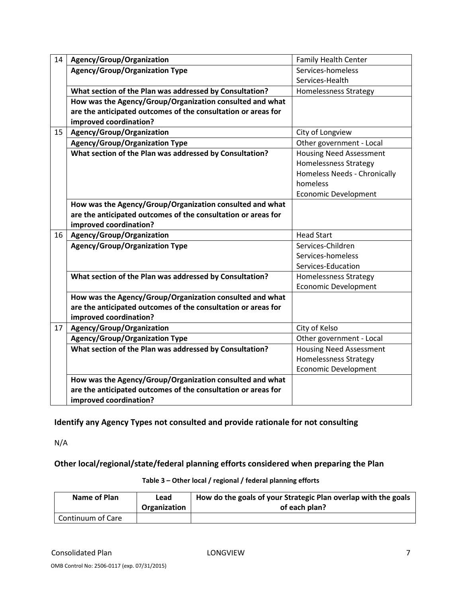| 14 | Agency/Group/Organization                                     | Family Health Center           |
|----|---------------------------------------------------------------|--------------------------------|
|    | <b>Agency/Group/Organization Type</b>                         | Services-homeless              |
|    |                                                               | Services-Health                |
|    |                                                               |                                |
|    | What section of the Plan was addressed by Consultation?       | Homelessness Strategy          |
|    | How was the Agency/Group/Organization consulted and what      |                                |
|    | are the anticipated outcomes of the consultation or areas for |                                |
|    | improved coordination?                                        |                                |
| 15 | Agency/Group/Organization                                     | City of Longview               |
|    | <b>Agency/Group/Organization Type</b>                         | Other government - Local       |
|    | What section of the Plan was addressed by Consultation?       | <b>Housing Need Assessment</b> |
|    |                                                               | <b>Homelessness Strategy</b>   |
|    |                                                               | Homeless Needs - Chronically   |
|    |                                                               | homeless                       |
|    |                                                               | <b>Economic Development</b>    |
|    | How was the Agency/Group/Organization consulted and what      |                                |
|    | are the anticipated outcomes of the consultation or areas for |                                |
|    | improved coordination?                                        |                                |
| 16 | Agency/Group/Organization                                     | <b>Head Start</b>              |
|    | <b>Agency/Group/Organization Type</b>                         | Services-Children              |
|    |                                                               | Services-homeless              |
|    |                                                               | Services-Education             |
|    | What section of the Plan was addressed by Consultation?       | <b>Homelessness Strategy</b>   |
|    |                                                               | <b>Economic Development</b>    |
|    | How was the Agency/Group/Organization consulted and what      |                                |
|    | are the anticipated outcomes of the consultation or areas for |                                |
|    | improved coordination?                                        |                                |
| 17 | Agency/Group/Organization                                     | City of Kelso                  |
|    | <b>Agency/Group/Organization Type</b>                         | Other government - Local       |
|    | What section of the Plan was addressed by Consultation?       | <b>Housing Need Assessment</b> |
|    |                                                               | <b>Homelessness Strategy</b>   |
|    |                                                               | <b>Economic Development</b>    |
|    | How was the Agency/Group/Organization consulted and what      |                                |
|    | are the anticipated outcomes of the consultation or areas for |                                |
|    | improved coordination?                                        |                                |

Identify any Agency Types not consulted and provide rationale for not consulting

N/A

Other local/regional/state/federal planning efforts considered when preparing the Plan

| Name of Plan      | Lead<br>Organization | How do the goals of your Strategic Plan overlap with the goals<br>of each plan? |
|-------------------|----------------------|---------------------------------------------------------------------------------|
| Continuum of Care |                      |                                                                                 |

### Table 3 – Other local / regional / federal planning efforts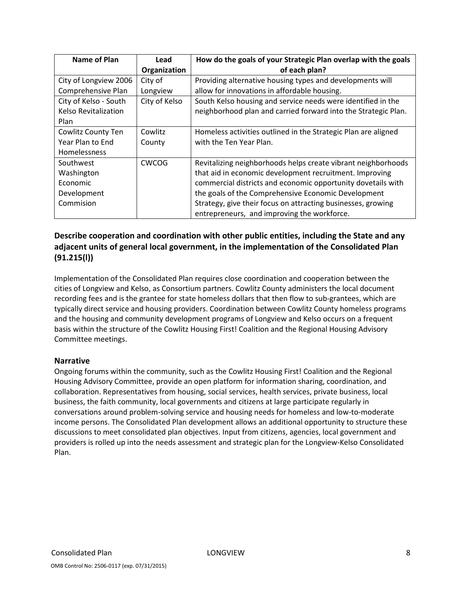| <b>Name of Plan</b>         | Lead          | How do the goals of your Strategic Plan overlap with the goals |
|-----------------------------|---------------|----------------------------------------------------------------|
|                             | Organization  | of each plan?                                                  |
| City of Longview 2006       | City of       | Providing alternative housing types and developments will      |
| Comprehensive Plan          | Longview      | allow for innovations in affordable housing.                   |
| City of Kelso - South       | City of Kelso | South Kelso housing and service needs were identified in the   |
| <b>Kelso Revitalization</b> |               | neighborhood plan and carried forward into the Strategic Plan. |
| Plan                        |               |                                                                |
| Cowlitz County Ten          | Cowlitz       | Homeless activities outlined in the Strategic Plan are aligned |
| Year Plan to End            | County        | with the Ten Year Plan.                                        |
| Homelessness                |               |                                                                |
| Southwest                   | <b>CWCOG</b>  | Revitalizing neighborhoods helps create vibrant neighborhoods  |
| Washington                  |               | that aid in economic development recruitment. Improving        |
| Economic                    |               | commercial districts and economic opportunity dovetails with   |
| Development                 |               | the goals of the Comprehensive Economic Development            |
| Commision                   |               | Strategy, give their focus on attracting businesses, growing   |
|                             |               | entrepreneurs, and improving the workforce.                    |

## Describe cooperation and coordination with other public entities, including the State and any adjacent units of general local government, in the implementation of the Consolidated Plan (91.215(l))

Implementation of the Consolidated Plan requires close coordination and cooperation between the cities of Longview and Kelso, as Consortium partners. Cowlitz County administers the local document recording fees and is the grantee for state homeless dollars that then flow to sub-grantees, which are typically direct service and housing providers. Coordination between Cowlitz County homeless programs and the housing and community development programs of Longview and Kelso occurs on a frequent basis within the structure of the Cowlitz Housing First! Coalition and the Regional Housing Advisory Committee meetings.

## Narrative

Ongoing forums within the community, such as the Cowlitz Housing First! Coalition and the Regional Housing Advisory Committee, provide an open platform for information sharing, coordination, and collaboration. Representatives from housing, social services, health services, private business, local business, the faith community, local governments and citizens at large participate regularly in conversations around problem-solving service and housing needs for homeless and low-to-moderate income persons. The Consolidated Plan development allows an additional opportunity to structure these discussions to meet consolidated plan objectives. Input from citizens, agencies, local government and providers is rolled up into the needs assessment and strategic plan for the Longview-Kelso Consolidated Plan.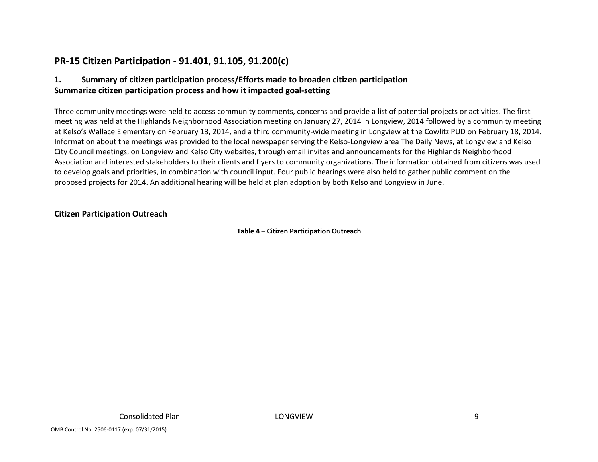# PR-15 Citizen Participation - 91.401, 91.105, 91.200(c)

## 1. Summary of citizen participation process/Efforts made to broaden citizen participation Summarize citizen participation process and how it impacted goal-setting

Three community meetings were held to access community comments, concerns and provide a list of potential projects or activities. The first meeting was held at the Highlands Neighborhood Association meeting on January 27, 2014 in Longview, 2014 followed by a community meeting at Kelso's Wallace Elementary on February 13, 2014, and a third community-wide meeting in Longview at the Cowlitz PUD on February 18, 2014. Information about the meetings was provided to the local newspaper serving the Kelso-Longview area The Daily News, at Longview and Kelso City Council meetings, on Longview and Kelso City websites, through email invites and announcements for the Highlands Neighborhood Association and interested stakeholders to their clients and flyers to community organizations. The information obtained from citizens was used to develop goals and priorities, in combination with council input. Four public hearings were also held to gather public comment on the proposed projects for 2014. An additional hearing will be held at plan adoption by both Kelso and Longview in June.

## Citizen Participation Outreach

Table 4 – Citizen Participation Outreach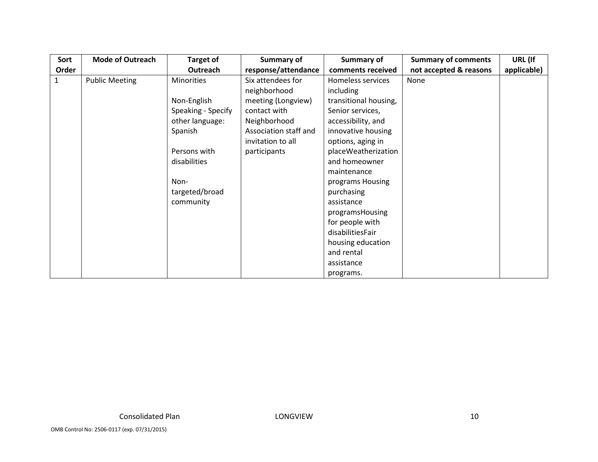| Sort         | <b>Mode of Outreach</b> | <b>Target of</b>   | Summary of            | Summary of            | <b>Summary of comments</b> | URL (If     |
|--------------|-------------------------|--------------------|-----------------------|-----------------------|----------------------------|-------------|
| Order        |                         | Outreach           | response/attendance   | comments received     | not accepted & reasons     | applicable) |
| $\mathbf{1}$ | <b>Public Meeting</b>   | <b>Minorities</b>  | Six attendees for     | Homeless services     | None                       |             |
|              |                         |                    | neighborhood          | <i>including</i>      |                            |             |
|              |                         | Non-English        | meeting (Longview)    | transitional housing, |                            |             |
|              |                         | Speaking - Specify | contact with          | Senior services,      |                            |             |
|              |                         | other language:    | Neighborhood          | accessibility, and    |                            |             |
|              |                         | Spanish            | Association staff and | innovative housing    |                            |             |
|              |                         |                    | invitation to all     | options, aging in     |                            |             |
|              |                         | Persons with       | participants          | placeWeatherization   |                            |             |
|              |                         | disabilities       |                       | and homeowner         |                            |             |
|              |                         |                    |                       | maintenance           |                            |             |
|              |                         | Non-               |                       | programs Housing      |                            |             |
|              |                         | targeted/broad     |                       | purchasing            |                            |             |
|              |                         | community          |                       | assistance            |                            |             |
|              |                         |                    |                       | programsHousing       |                            |             |
|              |                         |                    |                       | for people with       |                            |             |
|              |                         |                    |                       | disabilitiesFair      |                            |             |
|              |                         |                    |                       | housing education     |                            |             |
|              |                         |                    |                       | and rental            |                            |             |
|              |                         |                    |                       | assistance            |                            |             |
|              |                         |                    |                       | programs.             |                            |             |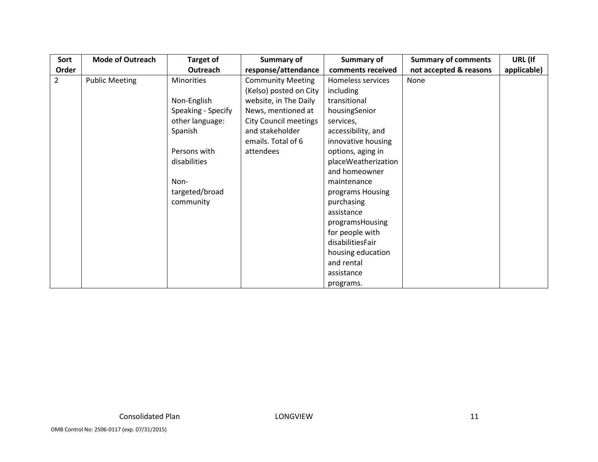| Sort           | <b>Mode of Outreach</b> | <b>Target of</b>   | Summary of                   | Summary of          | <b>Summary of comments</b> | URL (If     |
|----------------|-------------------------|--------------------|------------------------------|---------------------|----------------------------|-------------|
| Order          |                         | Outreach           | response/attendance          | comments received   | not accepted & reasons     | applicable) |
| $\overline{2}$ | <b>Public Meeting</b>   | <b>Minorities</b>  | <b>Community Meeting</b>     | Homeless services   | None                       |             |
|                |                         |                    | (Kelso) posted on City       | including           |                            |             |
|                |                         | Non-English        | website, in The Daily        | transitional        |                            |             |
|                |                         | Speaking - Specify | News, mentioned at           | housingSenior       |                            |             |
|                |                         | other language:    | <b>City Council meetings</b> | services,           |                            |             |
|                |                         | Spanish            | and stakeholder              | accessibility, and  |                            |             |
|                |                         |                    | emails. Total of 6           | innovative housing  |                            |             |
|                |                         | Persons with       | attendees                    | options, aging in   |                            |             |
|                |                         | disabilities       |                              | placeWeatherization |                            |             |
|                |                         |                    |                              | and homeowner       |                            |             |
|                |                         | Non-               |                              | maintenance         |                            |             |
|                |                         | targeted/broad     |                              | programs Housing    |                            |             |
|                |                         | community          |                              | purchasing          |                            |             |
|                |                         |                    |                              | assistance          |                            |             |
|                |                         |                    |                              | programsHousing     |                            |             |
|                |                         |                    |                              | for people with     |                            |             |
|                |                         |                    |                              | disabilitiesFair    |                            |             |
|                |                         |                    |                              | housing education   |                            |             |
|                |                         |                    |                              | and rental          |                            |             |
|                |                         |                    |                              | assistance          |                            |             |
|                |                         |                    |                              | programs.           |                            |             |